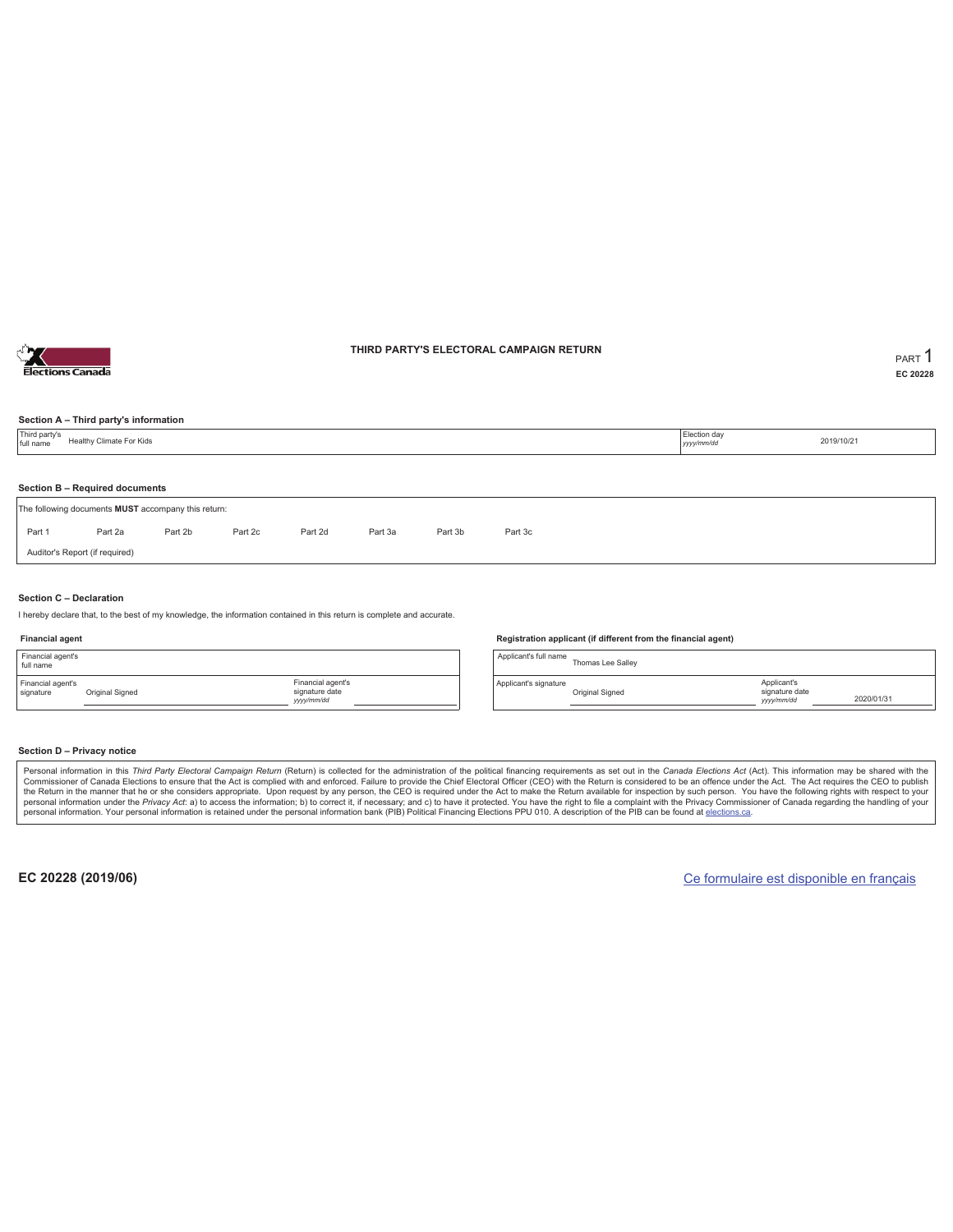

### **THIRD PARTY'S ELECTORAL CAMPAIGN RETURN PART** 1

**EC 20228**

#### **Section A – Third party's information**

| full name | Healthy Climate For Kids                                                              |  |  |  |  |  |  | Election day<br>yyyy/mm/dd | 2019/10/21 |  |  |  |
|-----------|---------------------------------------------------------------------------------------|--|--|--|--|--|--|----------------------------|------------|--|--|--|
|           |                                                                                       |  |  |  |  |  |  |                            |            |  |  |  |
|           | Section B - Required documents<br>The following documents MUST accompany this return: |  |  |  |  |  |  |                            |            |  |  |  |
| Part 1    | Part 2b<br>Part 2d<br>Part 3b<br>Part 3c<br>Part 2a<br>Part 2c<br>Part 3a             |  |  |  |  |  |  |                            |            |  |  |  |
|           | Auditor's Report (if required)                                                        |  |  |  |  |  |  |                            |            |  |  |  |

#### **Section C – Declaration**

I hereby declare that, to the best of my knowledge, the information contained in this return is complete and accurate.

#### **Financial agent**

| Financial agent's<br>full name |                 |                                                   |  |
|--------------------------------|-----------------|---------------------------------------------------|--|
| Financial agent's<br>signature | Original Signed | Financial agent's<br>signature date<br>yyyy/mm/dd |  |

#### **Registration applicant (if different from the financial agent)**

Applicant's full name<br>Thomas Lee Salley Applicant's signature Original Signed Applicant's signature date *yyyy/mm/dd* 2020/01/31

#### **Section D – Privacy notice**

Personal information in this Third Party Electoral Campaign Return (Return) is collected for the administration of the political financing requirements as set out in the Canada Elections Act (Act). This information may be Commissioner of Canada Elections to ensure that the Act is complied with and enforced. Failure to provide the Chief Electoral Officer (CEO) with the Return is considered to be an offence under the Act. The Act requires the personal information. Your personal information is retained under the personal information bank (PIB) Political Financing Elections PPU 010. A description of the PIB can be found at elections.ca.

**EC 20228 (2019/06)** Ce formulaire est disponible en français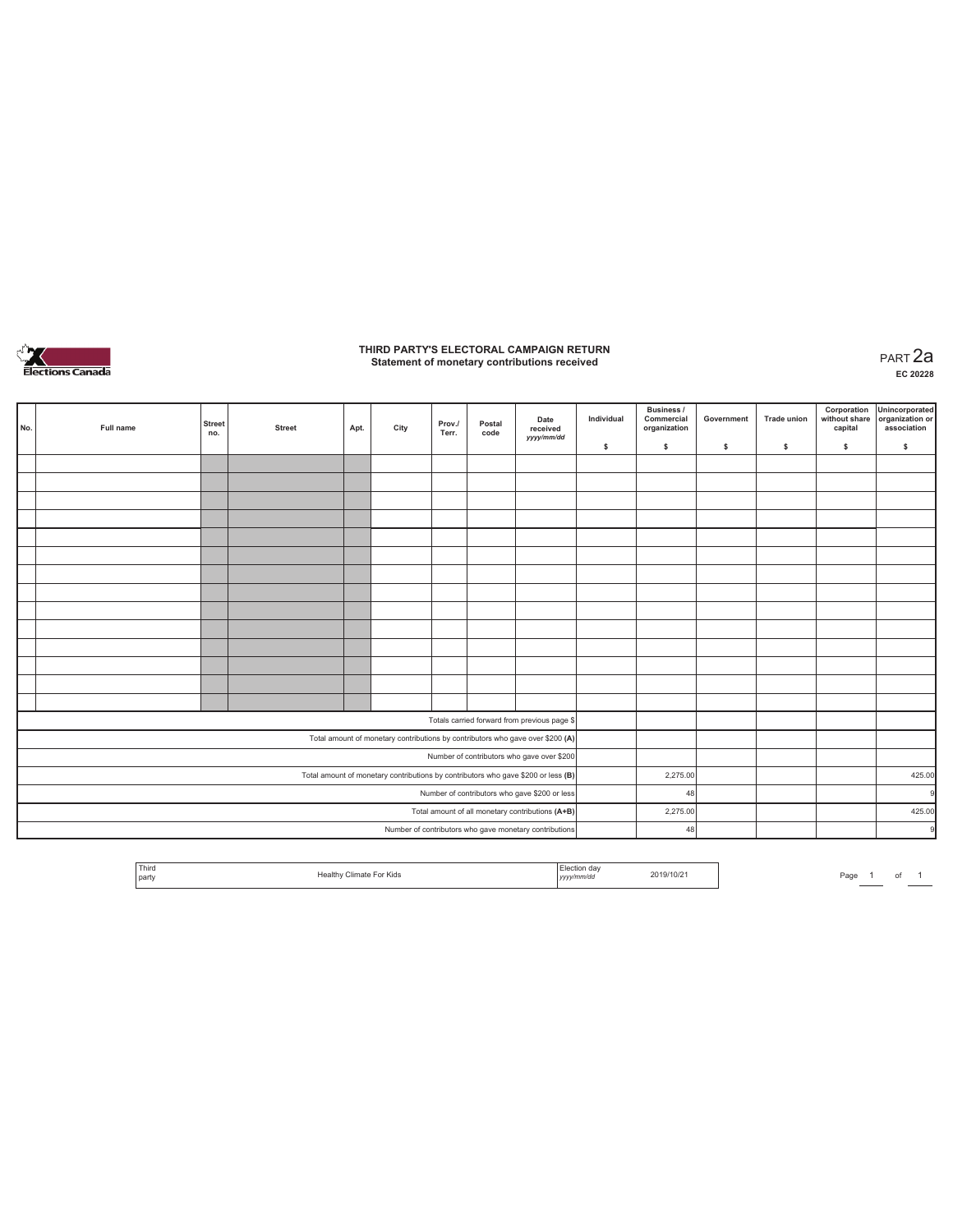

### **THIRD PARTY'S ELECTORAL CAMPAIGN RETURN Statement of monetary contributions received** PART 2a

| No. | Full name                                        | <b>Street</b><br>no. | <b>Street</b> | Apt. | City | Prov./<br>Terr. | Postal<br>code | Date<br>received<br>yyyy/mm/dd                                                    | Individual | <b>Business /</b><br>Commercial<br>organization | Government | <b>Trade union</b> | Corporation<br>capital | Unincorporated<br>without share organization or<br>association |
|-----|--------------------------------------------------|----------------------|---------------|------|------|-----------------|----------------|-----------------------------------------------------------------------------------|------------|-------------------------------------------------|------------|--------------------|------------------------|----------------------------------------------------------------|
|     |                                                  |                      |               |      |      |                 |                |                                                                                   | \$         | \$                                              | \$         | \$                 | \$                     | \$                                                             |
|     |                                                  |                      |               |      |      |                 |                |                                                                                   |            |                                                 |            |                    |                        |                                                                |
|     |                                                  |                      |               |      |      |                 |                |                                                                                   |            |                                                 |            |                    |                        |                                                                |
|     |                                                  |                      |               |      |      |                 |                |                                                                                   |            |                                                 |            |                    |                        |                                                                |
|     |                                                  |                      |               |      |      |                 |                |                                                                                   |            |                                                 |            |                    |                        |                                                                |
|     |                                                  |                      |               |      |      |                 |                |                                                                                   |            |                                                 |            |                    |                        |                                                                |
|     |                                                  |                      |               |      |      |                 |                |                                                                                   |            |                                                 |            |                    |                        |                                                                |
|     |                                                  |                      |               |      |      |                 |                |                                                                                   |            |                                                 |            |                    |                        |                                                                |
|     |                                                  |                      |               |      |      |                 |                |                                                                                   |            |                                                 |            |                    |                        |                                                                |
|     |                                                  |                      |               |      |      |                 |                |                                                                                   |            |                                                 |            |                    |                        |                                                                |
|     |                                                  |                      |               |      |      |                 |                |                                                                                   |            |                                                 |            |                    |                        |                                                                |
|     |                                                  |                      |               |      |      |                 |                |                                                                                   |            |                                                 |            |                    |                        |                                                                |
|     |                                                  |                      |               |      |      |                 |                |                                                                                   |            |                                                 |            |                    |                        |                                                                |
|     |                                                  |                      |               |      |      |                 |                |                                                                                   |            |                                                 |            |                    |                        |                                                                |
|     |                                                  |                      |               |      |      |                 |                |                                                                                   |            |                                                 |            |                    |                        |                                                                |
|     |                                                  |                      |               |      |      |                 |                | Totals carried forward from previous page \$                                      |            |                                                 |            |                    |                        |                                                                |
|     |                                                  |                      |               |      |      |                 |                | Total amount of monetary contributions by contributors who gave over \$200 (A)    |            |                                                 |            |                    |                        |                                                                |
|     |                                                  |                      |               |      |      |                 |                | Number of contributors who gave over \$200                                        |            |                                                 |            |                    |                        |                                                                |
|     |                                                  |                      |               |      |      |                 |                | Total amount of monetary contributions by contributors who gave \$200 or less (B) |            | 2,275.00                                        |            |                    |                        | 425.00                                                         |
|     |                                                  |                      |               |      |      |                 |                | Number of contributors who gave \$200 or less                                     |            | 48                                              |            |                    |                        | 9                                                              |
|     | Total amount of all monetary contributions (A+B) |                      |               |      |      |                 |                |                                                                                   | 2,275.00   |                                                 |            |                    | 425.00                 |                                                                |
|     |                                                  |                      |               |      |      |                 |                | Number of contributors who gave monetary contributions                            |            | 48                                              |            |                    |                        | 9                                                              |

| Third<br>party | ັງr Kids<br>: Climato | 2019/10/21<br>.<br>yyyy/mm/dd | Page |
|----------------|-----------------------|-------------------------------|------|
|----------------|-----------------------|-------------------------------|------|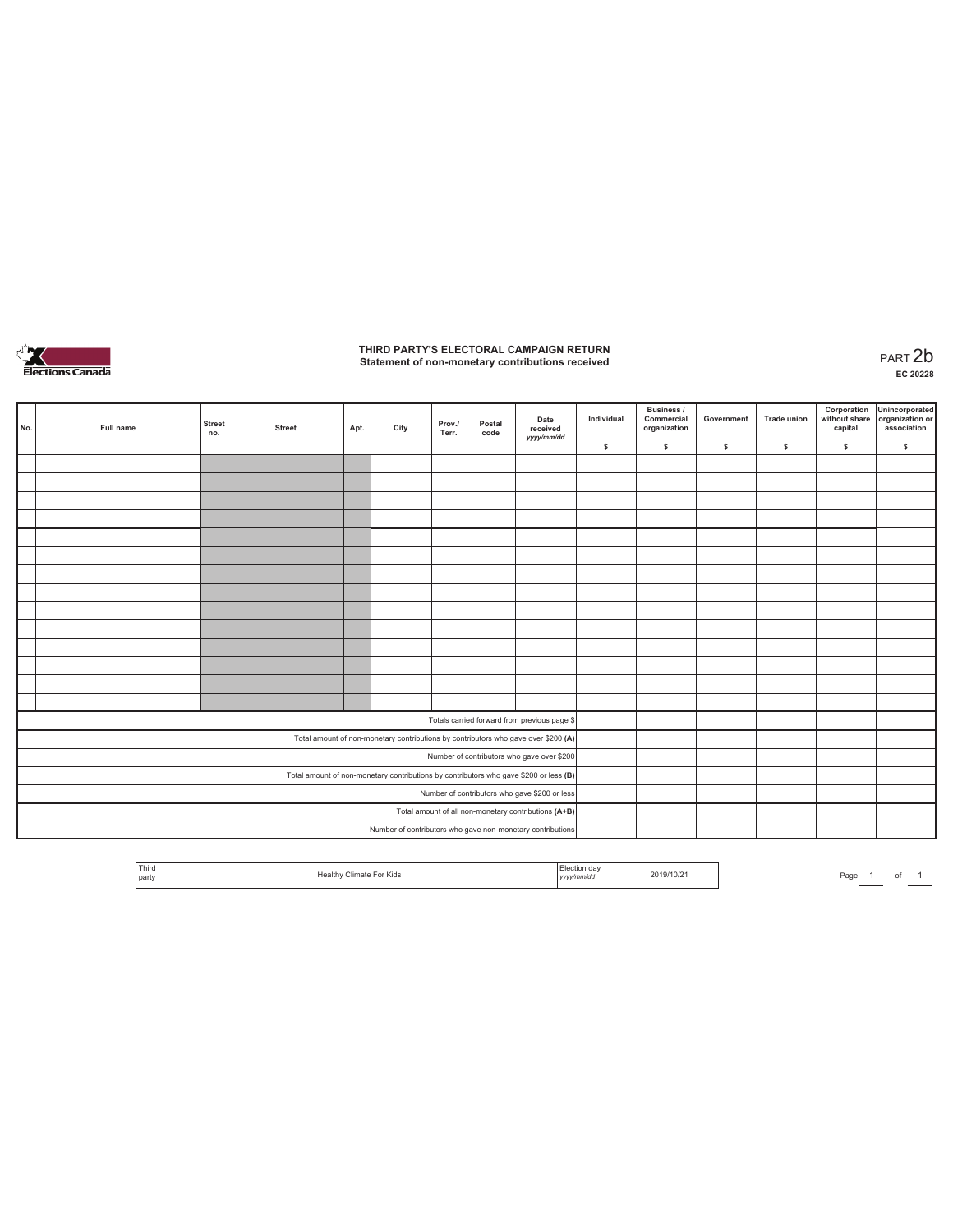

## **THIRD PARTY'S ELECTORAL CAMPAIGN RETURN Statement of non-monetary contributions received** PART 2b

| No. | Full name                                     | <b>Street</b><br>no. | <b>Street</b> | Apt. | City | Prov./<br>Terr. | Postal<br>code | Date<br>received<br>yyyy/mm/dd                                                        | Individual | <b>Business /</b><br>Commercial<br>organization | Government | <b>Trade union</b> | Corporation<br>without share<br>capital | Unincorporated<br>organization or<br>association |
|-----|-----------------------------------------------|----------------------|---------------|------|------|-----------------|----------------|---------------------------------------------------------------------------------------|------------|-------------------------------------------------|------------|--------------------|-----------------------------------------|--------------------------------------------------|
|     |                                               |                      |               |      |      |                 |                |                                                                                       | \$         | $\mathbb S$                                     | \$.        | \$                 | \$                                      | \$                                               |
|     |                                               |                      |               |      |      |                 |                |                                                                                       |            |                                                 |            |                    |                                         |                                                  |
|     |                                               |                      |               |      |      |                 |                |                                                                                       |            |                                                 |            |                    |                                         |                                                  |
|     |                                               |                      |               |      |      |                 |                |                                                                                       |            |                                                 |            |                    |                                         |                                                  |
|     |                                               |                      |               |      |      |                 |                |                                                                                       |            |                                                 |            |                    |                                         |                                                  |
|     |                                               |                      |               |      |      |                 |                |                                                                                       |            |                                                 |            |                    |                                         |                                                  |
|     |                                               |                      |               |      |      |                 |                |                                                                                       |            |                                                 |            |                    |                                         |                                                  |
|     |                                               |                      |               |      |      |                 |                |                                                                                       |            |                                                 |            |                    |                                         |                                                  |
|     |                                               |                      |               |      |      |                 |                |                                                                                       |            |                                                 |            |                    |                                         |                                                  |
|     |                                               |                      |               |      |      |                 |                |                                                                                       |            |                                                 |            |                    |                                         |                                                  |
|     |                                               |                      |               |      |      |                 |                |                                                                                       |            |                                                 |            |                    |                                         |                                                  |
|     |                                               |                      |               |      |      |                 |                |                                                                                       |            |                                                 |            |                    |                                         |                                                  |
|     |                                               |                      |               |      |      |                 |                |                                                                                       |            |                                                 |            |                    |                                         |                                                  |
|     |                                               |                      |               |      |      |                 |                |                                                                                       |            |                                                 |            |                    |                                         |                                                  |
|     |                                               |                      |               |      |      |                 |                |                                                                                       |            |                                                 |            |                    |                                         |                                                  |
|     |                                               |                      |               |      |      |                 |                | Totals carried forward from previous page \$                                          |            |                                                 |            |                    |                                         |                                                  |
|     |                                               |                      |               |      |      |                 |                | Total amount of non-monetary contributions by contributors who gave over \$200 (A)    |            |                                                 |            |                    |                                         |                                                  |
|     |                                               |                      |               |      |      |                 |                | Number of contributors who gave over \$200                                            |            |                                                 |            |                    |                                         |                                                  |
|     |                                               |                      |               |      |      |                 |                | Total amount of non-monetary contributions by contributors who gave \$200 or less (B) |            |                                                 |            |                    |                                         |                                                  |
|     | Number of contributors who gave \$200 or less |                      |               |      |      |                 |                |                                                                                       |            |                                                 |            |                    |                                         |                                                  |
|     |                                               |                      |               |      |      |                 |                | Total amount of all non-monetary contributions (A+B)                                  |            |                                                 |            |                    |                                         |                                                  |
|     |                                               |                      |               |      |      |                 |                | Number of contributors who gave non-monetary contributions                            |            |                                                 |            |                    |                                         |                                                  |

| Third<br><b>Contract Contract Contract</b><br>  party | or Kids<br>امطا | "ction da∨<br>vyyymm/au<br>J Y Y J' | 1019/10/21 | 2000<br>-ayt | $\sim$ |  |
|-------------------------------------------------------|-----------------|-------------------------------------|------------|--------------|--------|--|
|                                                       |                 |                                     |            |              |        |  |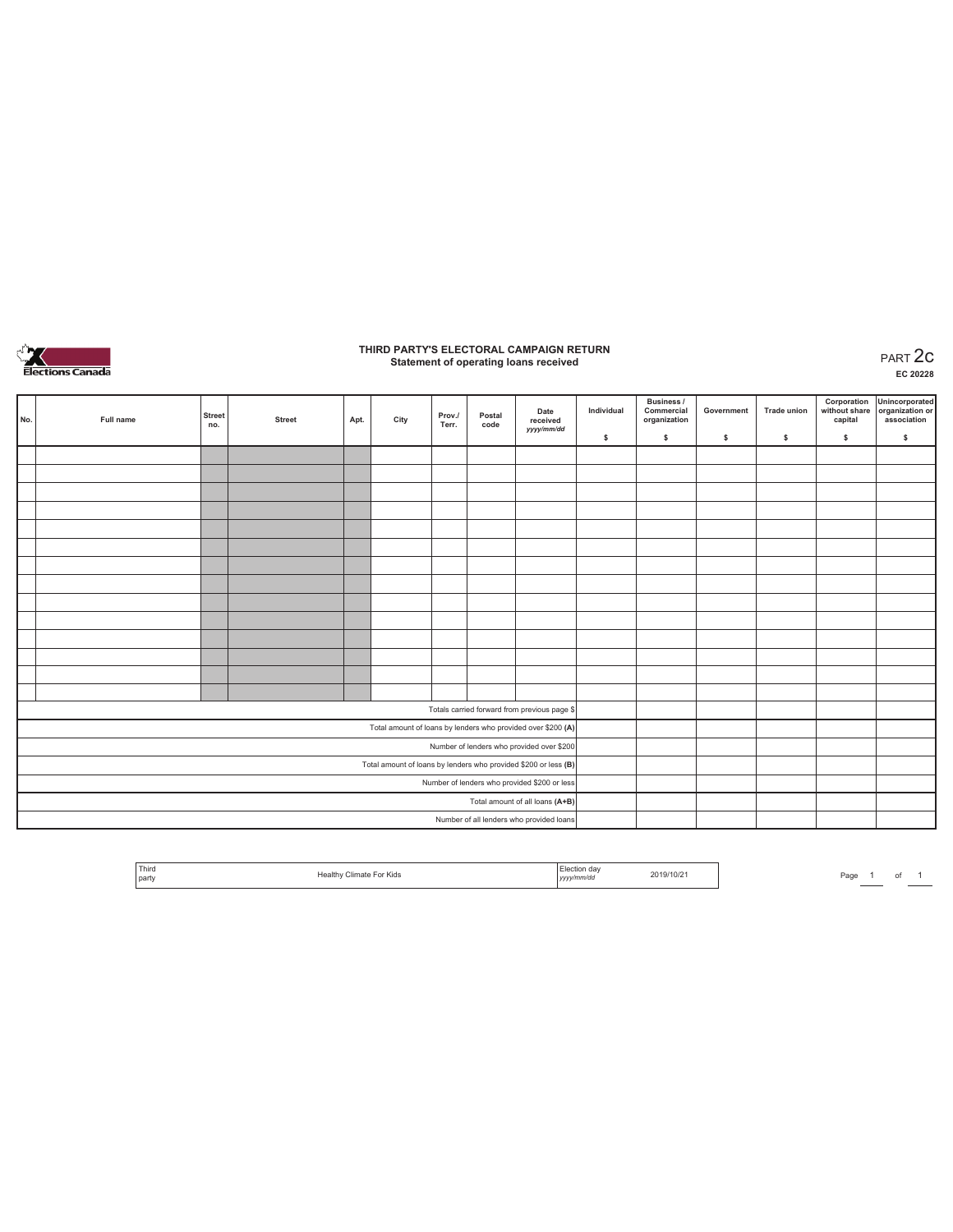

### **THIRD PARTY'S ELECTORAL CAMPAIGN RETURN Statement of operating loans received** PART 2c

**EC 20228**

| No. | Full name                                    | <b>Street</b><br>no. | <b>Street</b> | Apt. | City | Prov./<br>Terr. | Postal<br>code | Date<br>received<br>yyyy/mm/dd                                  | Individual | <b>Business /</b><br>Commercial<br>organization | Government | <b>Trade union</b> | Corporation<br>without share<br>capital | Unincorporated<br>organization or<br>association |
|-----|----------------------------------------------|----------------------|---------------|------|------|-----------------|----------------|-----------------------------------------------------------------|------------|-------------------------------------------------|------------|--------------------|-----------------------------------------|--------------------------------------------------|
|     |                                              |                      |               |      |      |                 |                |                                                                 | \$         | \$.                                             | \$         | s                  | \$                                      | $\mathbb S$                                      |
|     |                                              |                      |               |      |      |                 |                |                                                                 |            |                                                 |            |                    |                                         |                                                  |
|     |                                              |                      |               |      |      |                 |                |                                                                 |            |                                                 |            |                    |                                         |                                                  |
|     |                                              |                      |               |      |      |                 |                |                                                                 |            |                                                 |            |                    |                                         |                                                  |
|     |                                              |                      |               |      |      |                 |                |                                                                 |            |                                                 |            |                    |                                         |                                                  |
|     |                                              |                      |               |      |      |                 |                |                                                                 |            |                                                 |            |                    |                                         |                                                  |
|     |                                              |                      |               |      |      |                 |                |                                                                 |            |                                                 |            |                    |                                         |                                                  |
|     |                                              |                      |               |      |      |                 |                |                                                                 |            |                                                 |            |                    |                                         |                                                  |
|     |                                              |                      |               |      |      |                 |                |                                                                 |            |                                                 |            |                    |                                         |                                                  |
|     |                                              |                      |               |      |      |                 |                |                                                                 |            |                                                 |            |                    |                                         |                                                  |
|     |                                              |                      |               |      |      |                 |                |                                                                 |            |                                                 |            |                    |                                         |                                                  |
|     |                                              |                      |               |      |      |                 |                |                                                                 |            |                                                 |            |                    |                                         |                                                  |
|     |                                              |                      |               |      |      |                 |                |                                                                 |            |                                                 |            |                    |                                         |                                                  |
|     |                                              |                      |               |      |      |                 |                |                                                                 |            |                                                 |            |                    |                                         |                                                  |
|     |                                              |                      |               |      |      |                 |                |                                                                 |            |                                                 |            |                    |                                         |                                                  |
|     |                                              |                      |               |      |      |                 |                | Totals carried forward from previous page \$                    |            |                                                 |            |                    |                                         |                                                  |
|     |                                              |                      |               |      |      |                 |                | Total amount of loans by lenders who provided over \$200 (A)    |            |                                                 |            |                    |                                         |                                                  |
|     |                                              |                      |               |      |      |                 |                | Number of lenders who provided over \$200                       |            |                                                 |            |                    |                                         |                                                  |
|     |                                              |                      |               |      |      |                 |                | Total amount of loans by lenders who provided \$200 or less (B) |            |                                                 |            |                    |                                         |                                                  |
|     | Number of lenders who provided \$200 or less |                      |               |      |      |                 |                |                                                                 |            |                                                 |            |                    |                                         |                                                  |
|     |                                              |                      |               |      |      |                 |                | Total amount of all loans (A+B)                                 |            |                                                 |            |                    |                                         |                                                  |
|     |                                              |                      |               |      |      |                 |                | Number of all lenders who provided loans                        |            |                                                 |            |                    |                                         |                                                  |

| <sup>1</sup> Third<br>Election day<br>2019/10/21<br>Climate For Kids<br>Healthv<br>$\sim$<br><b>Darty</b><br>yyyy/mm/dd |
|-------------------------------------------------------------------------------------------------------------------------|
|-------------------------------------------------------------------------------------------------------------------------|

Page  $1$  of  $1$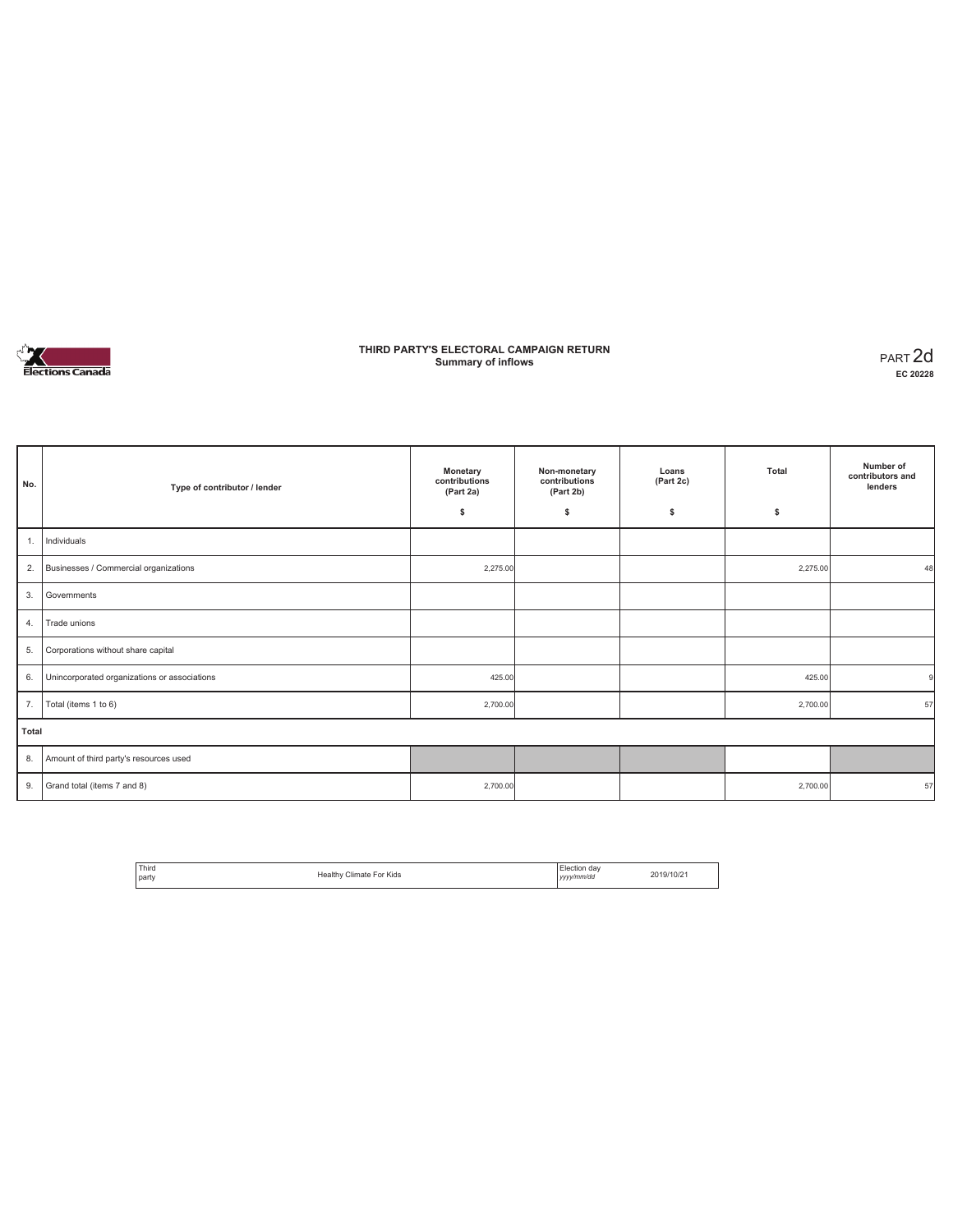

### **THIRD PARTY'S ELECTORAL CAMPAIGN RETURN Summary of inflows** PART 2d

| No.   | Type of contributor / lender                 | <b>Monetary</b><br>contributions<br>(Part 2a)<br>\$ | Non-monetary<br>contributions<br>(Part 2b)<br>\$ | Loans<br>(Part 2c)<br>s | Total<br>\$ | Number of<br>contributors and<br>lenders |
|-------|----------------------------------------------|-----------------------------------------------------|--------------------------------------------------|-------------------------|-------------|------------------------------------------|
| 1.    | Individuals                                  |                                                     |                                                  |                         |             |                                          |
|       |                                              |                                                     |                                                  |                         |             |                                          |
| 2.    | Businesses / Commercial organizations        | 2,275.00                                            |                                                  |                         | 2,275.00    | 48                                       |
| 3.    | Governments                                  |                                                     |                                                  |                         |             |                                          |
| 4.    | Trade unions                                 |                                                     |                                                  |                         |             |                                          |
| 5.    | Corporations without share capital           |                                                     |                                                  |                         |             |                                          |
| 6.    | Unincorporated organizations or associations | 425.00                                              |                                                  |                         | 425.00      |                                          |
| 7.    | Total (items 1 to 6)                         | 2,700.00                                            |                                                  |                         | 2,700.00    | 57                                       |
| Total |                                              |                                                     |                                                  |                         |             |                                          |
| 8.    | Amount of third party's resources used       |                                                     |                                                  |                         |             |                                          |
| 9.    | Grand total (items 7 and 8)                  | 2,700.00                                            |                                                  |                         | 2,700.00    | 57                                       |

| <b>Third</b><br>l party | Healthy Climate For Kids | Election day<br>yyyy/mm/dd | 2019/10/21 |
|-------------------------|--------------------------|----------------------------|------------|
|                         |                          |                            |            |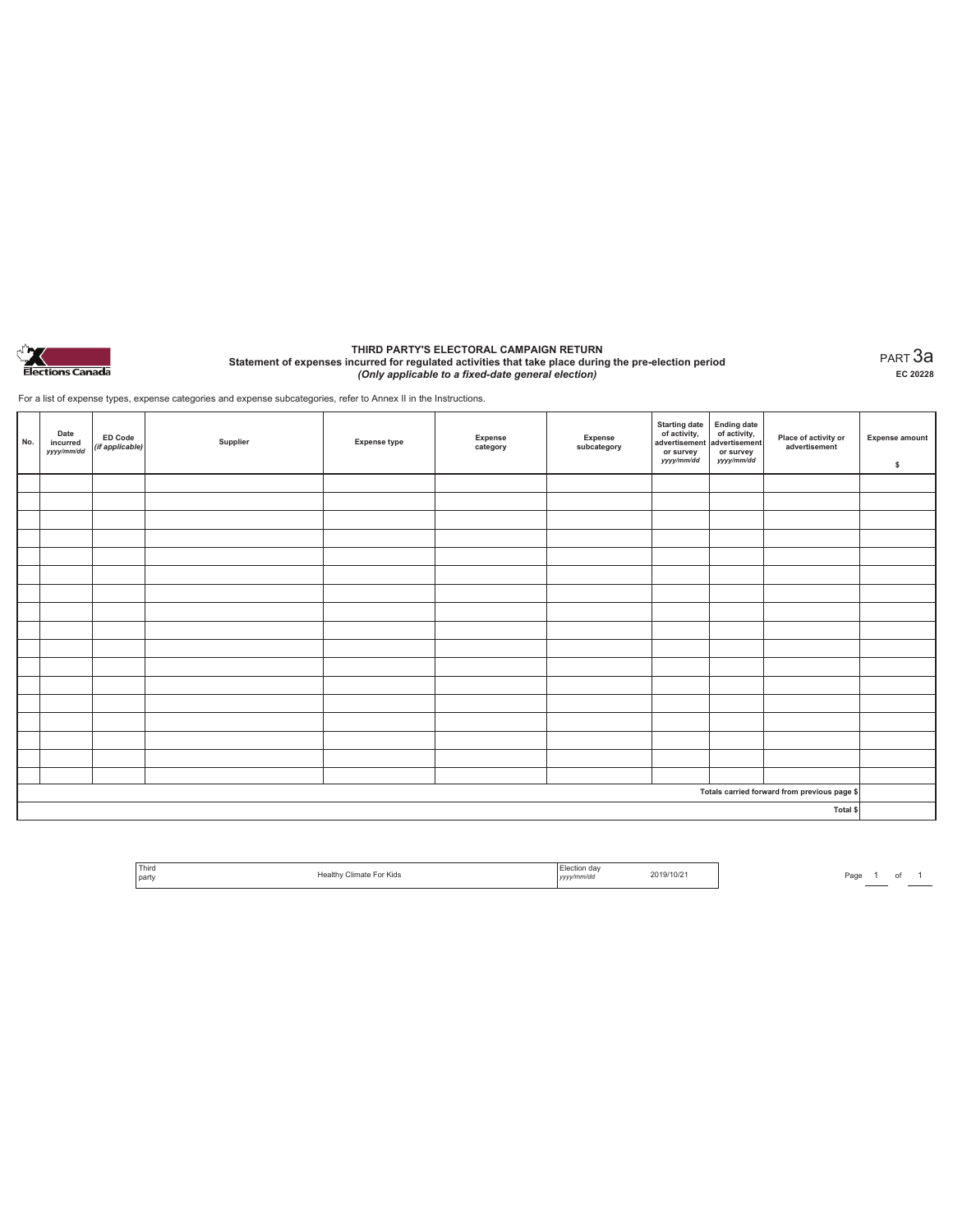

#### **THIRD PARTY'S ELECTORAL CAMPAIGN RETURN Statement of expenses incurred for regulated activities that take place during the pre-election period**  *(Only applicable to a fixed-date general election)*

PART 3a **EC 20228**

For a list of expense types, expense categories and expense subcategories, refer to Annex II in the Instructions.

| No. | Date<br>incurred<br>yyyy/mm/dd | ED Code<br>(if applicable) | Supplier | <b>Expense type</b> | Expense<br>category | Expense<br>subcategory | Starting date<br>of activity,<br>advertisement<br>advertisement<br>dvertisement<br>or survey<br>yyyy/mm/dd | or survey<br>yyyy/mm/dd | Place of activity or<br>advertisement        | <b>Expense amount</b><br>\$ |
|-----|--------------------------------|----------------------------|----------|---------------------|---------------------|------------------------|------------------------------------------------------------------------------------------------------------|-------------------------|----------------------------------------------|-----------------------------|
|     |                                |                            |          |                     |                     |                        |                                                                                                            |                         |                                              |                             |
|     |                                |                            |          |                     |                     |                        |                                                                                                            |                         |                                              |                             |
|     |                                |                            |          |                     |                     |                        |                                                                                                            |                         |                                              |                             |
|     |                                |                            |          |                     |                     |                        |                                                                                                            |                         |                                              |                             |
|     |                                |                            |          |                     |                     |                        |                                                                                                            |                         |                                              |                             |
|     |                                |                            |          |                     |                     |                        |                                                                                                            |                         |                                              |                             |
|     |                                |                            |          |                     |                     |                        |                                                                                                            |                         |                                              |                             |
|     |                                |                            |          |                     |                     |                        |                                                                                                            |                         |                                              |                             |
|     |                                |                            |          |                     |                     |                        |                                                                                                            |                         |                                              |                             |
|     |                                |                            |          |                     |                     |                        |                                                                                                            |                         |                                              |                             |
|     |                                |                            |          |                     |                     |                        |                                                                                                            |                         |                                              |                             |
|     |                                |                            |          |                     |                     |                        |                                                                                                            |                         |                                              |                             |
|     |                                |                            |          |                     |                     |                        |                                                                                                            |                         |                                              |                             |
|     |                                |                            |          |                     |                     |                        |                                                                                                            |                         |                                              |                             |
|     |                                |                            |          |                     |                     |                        |                                                                                                            |                         |                                              |                             |
|     |                                |                            |          |                     |                     |                        |                                                                                                            |                         |                                              |                             |
|     |                                |                            |          |                     |                     |                        |                                                                                                            |                         |                                              |                             |
|     |                                |                            |          |                     |                     |                        |                                                                                                            |                         | Totals carried forward from previous page \$ |                             |
|     |                                |                            |          |                     |                     |                        |                                                                                                            |                         | Total \$                                     |                             |

| ' Third | $-$<br><sup>≂</sup> or Kids l<br>:limate<br>ogith) | dav<br><b>Contract Contract</b>   | 19/10/21 |
|---------|----------------------------------------------------|-----------------------------------|----------|
| ' party |                                                    | /v/mm/da<br><b>1.51 A</b><br>,,,, |          |

Page  $1$  of  $1$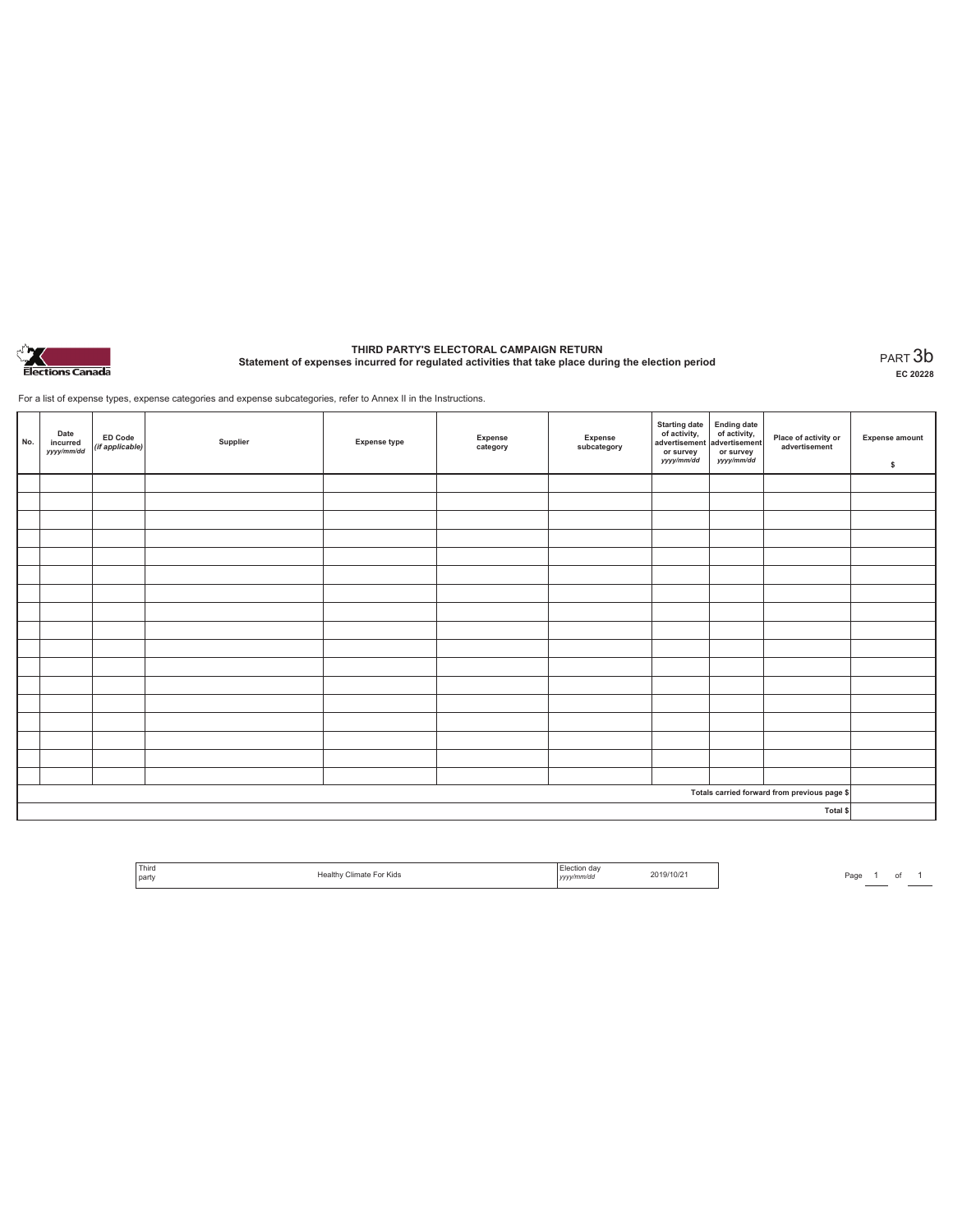

# **THIRD PARTY'S ELECTORAL CAMPAIGN RETURN Statement of expenses incurred for regulated activities that take place during the election period** PART 3b

**EC 20228**

For a list of expense types, expense categories and expense subcategories, refer to Annex II in the Instructions.

| No.                                          | Date<br>incurred<br>yyyy/mm/dd | <b>ED Code</b><br>(if applicable) | Supplier | <b>Expense type</b> | Expense<br>category | Expense<br>subcategory | Starting date<br>of activity,<br>advertisement<br>or survey<br>yyyy/mm/dd | Ending date<br>of activity,<br>advertisement<br>or survey<br>yyyy/mm/dd | Place of activity or<br>advertisement | <b>Expense amount</b><br>\$ |
|----------------------------------------------|--------------------------------|-----------------------------------|----------|---------------------|---------------------|------------------------|---------------------------------------------------------------------------|-------------------------------------------------------------------------|---------------------------------------|-----------------------------|
|                                              |                                |                                   |          |                     |                     |                        |                                                                           |                                                                         |                                       |                             |
|                                              |                                |                                   |          |                     |                     |                        |                                                                           |                                                                         |                                       |                             |
|                                              |                                |                                   |          |                     |                     |                        |                                                                           |                                                                         |                                       |                             |
|                                              |                                |                                   |          |                     |                     |                        |                                                                           |                                                                         |                                       |                             |
|                                              |                                |                                   |          |                     |                     |                        |                                                                           |                                                                         |                                       |                             |
|                                              |                                |                                   |          |                     |                     |                        |                                                                           |                                                                         |                                       |                             |
|                                              |                                |                                   |          |                     |                     |                        |                                                                           |                                                                         |                                       |                             |
|                                              |                                |                                   |          |                     |                     |                        |                                                                           |                                                                         |                                       |                             |
|                                              |                                |                                   |          |                     |                     |                        |                                                                           |                                                                         |                                       |                             |
|                                              |                                |                                   |          |                     |                     |                        |                                                                           |                                                                         |                                       |                             |
|                                              |                                |                                   |          |                     |                     |                        |                                                                           |                                                                         |                                       |                             |
|                                              |                                |                                   |          |                     |                     |                        |                                                                           |                                                                         |                                       |                             |
|                                              |                                |                                   |          |                     |                     |                        |                                                                           |                                                                         |                                       |                             |
|                                              |                                |                                   |          |                     |                     |                        |                                                                           |                                                                         |                                       |                             |
|                                              |                                |                                   |          |                     |                     |                        |                                                                           |                                                                         |                                       |                             |
|                                              |                                |                                   |          |                     |                     |                        |                                                                           |                                                                         |                                       |                             |
|                                              |                                |                                   |          |                     |                     |                        |                                                                           |                                                                         |                                       |                             |
| Totals carried forward from previous page \$ |                                |                                   |          |                     |                     |                        |                                                                           |                                                                         |                                       |                             |
| Total \$                                     |                                |                                   |          |                     |                     |                        |                                                                           |                                                                         |                                       |                             |

| Third<br><sup>1</sup> partv | $\cdots$<br>limate<br>Kids<br>u | v/mm/do<br>,,,,, | $10/2^3$ |
|-----------------------------|---------------------------------|------------------|----------|
|                             |                                 |                  |          |

Page  $1$  of  $1$